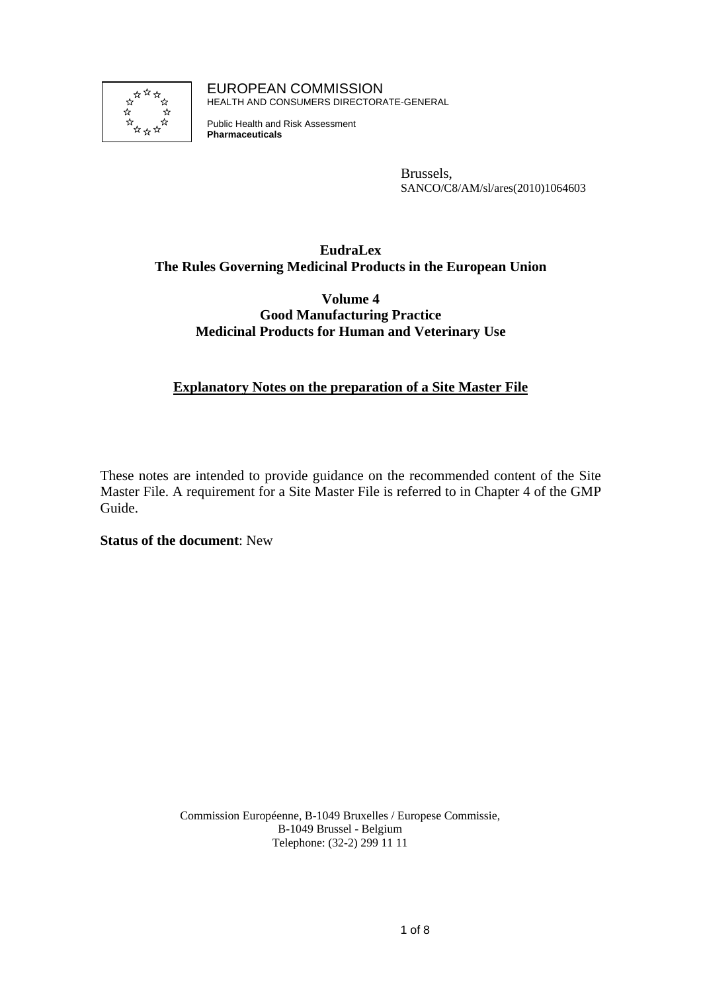

EUROPEAN COMMISSION HEALTH AND CONSUMERS DIRECTORATE-GENERAL

Public Health and Risk Assessment **Pharmaceuticals**

> Brussels, SANCO/C8/AM/sl/ares(2010)1064603

# **EudraLex The Rules Governing Medicinal Products in the European Union**

### **Volume 4 Good Manufacturing Practice Medicinal Products for Human and Veterinary Use**

# **Explanatory Notes on the preparation of a Site Master File**

These notes are intended to provide guidance on the recommended content of the Site Master File. A requirement for a Site Master File is referred to in Chapter 4 of the GMP Guide.

#### **Status of the document**: New

Commission Européenne, B-1049 Bruxelles / Europese Commissie, B-1049 Brussel - Belgium Telephone: (32-2) 299 11 11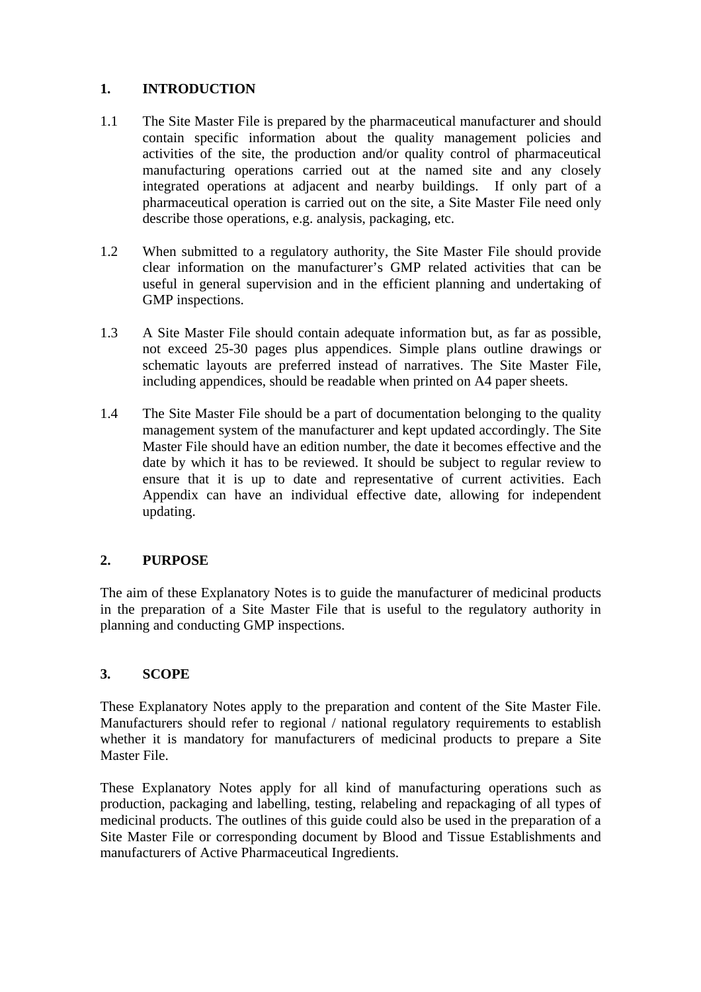# **1. INTRODUCTION**

- 1.1 The Site Master File is prepared by the pharmaceutical manufacturer and should contain specific information about the quality management policies and activities of the site, the production and/or quality control of pharmaceutical manufacturing operations carried out at the named site and any closely integrated operations at adjacent and nearby buildings. If only part of a pharmaceutical operation is carried out on the site, a Site Master File need only describe those operations, e.g. analysis, packaging, etc.
- 1.2 When submitted to a regulatory authority, the Site Master File should provide clear information on the manufacturer's GMP related activities that can be useful in general supervision and in the efficient planning and undertaking of GMP inspections.
- 1.3 A Site Master File should contain adequate information but, as far as possible, not exceed 25-30 pages plus appendices. Simple plans outline drawings or schematic layouts are preferred instead of narratives. The Site Master File, including appendices, should be readable when printed on A4 paper sheets.
- 1.4 The Site Master File should be a part of documentation belonging to the quality management system of the manufacturer and kept updated accordingly. The Site Master File should have an edition number, the date it becomes effective and the date by which it has to be reviewed. It should be subject to regular review to ensure that it is up to date and representative of current activities. Each Appendix can have an individual effective date, allowing for independent updating.

### **2. PURPOSE**

The aim of these Explanatory Notes is to guide the manufacturer of medicinal products in the preparation of a Site Master File that is useful to the regulatory authority in planning and conducting GMP inspections.

### **3. SCOPE**

These Explanatory Notes apply to the preparation and content of the Site Master File. Manufacturers should refer to regional / national regulatory requirements to establish whether it is mandatory for manufacturers of medicinal products to prepare a Site Master File.

These Explanatory Notes apply for all kind of manufacturing operations such as production, packaging and labelling, testing, relabeling and repackaging of all types of medicinal products. The outlines of this guide could also be used in the preparation of a Site Master File or corresponding document by Blood and Tissue Establishments and manufacturers of Active Pharmaceutical Ingredients.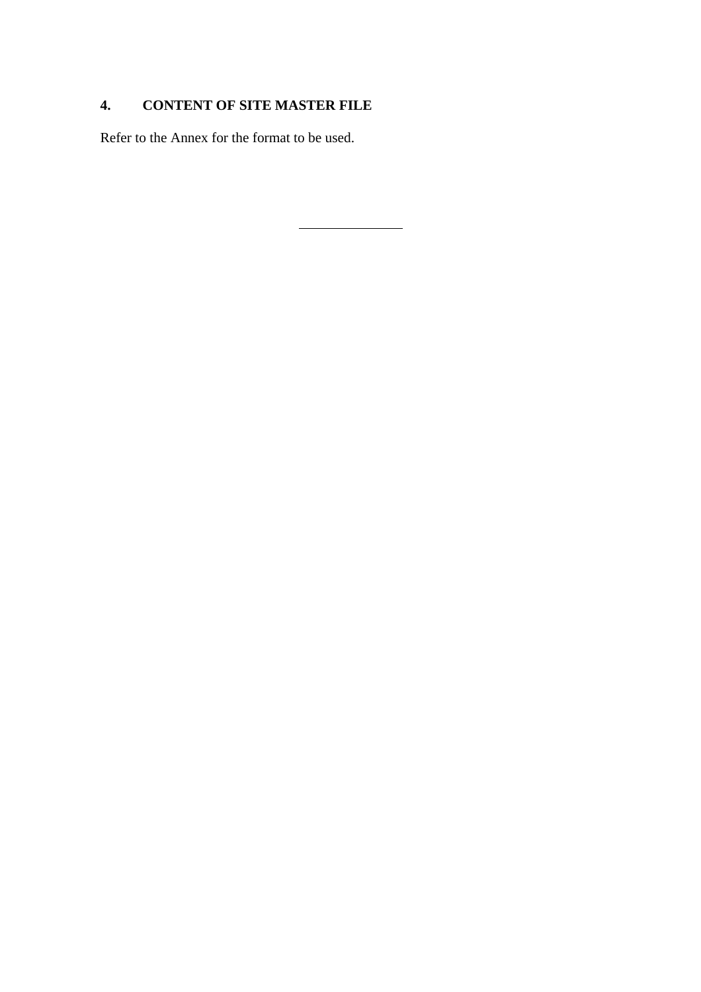# **4. CONTENT OF SITE MASTER FILE**

 $\overline{a}$ 

Refer to the Annex for the format to be used.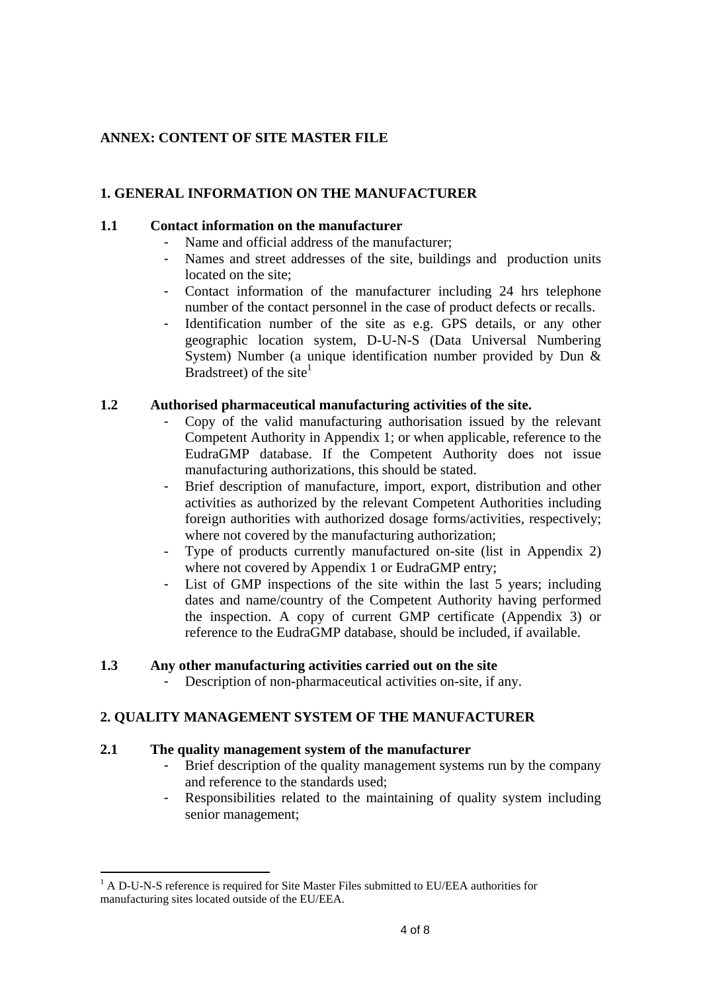# **ANNEX: CONTENT OF SITE MASTER FILE**

### **1. GENERAL INFORMATION ON THE MANUFACTURER**

#### **1.1 Contact information on the manufacturer**

- Name and official address of the manufacturer;
- Names and street addresses of the site, buildings and production units located on the site;
- Contact information of the manufacturer including 24 hrs telephone number of the contact personnel in the case of product defects or recalls.
- Identification number of the site as e.g. GPS details, or any other geographic location system, D-U-N-S (Data Universal Numbering System) Number (a unique identification number provided by Dun & Bradstreet) of the site $<sup>1</sup>$ </sup>

#### **1.2 Authorised pharmaceutical manufacturing activities of the site.**

- Copy of the valid manufacturing authorisation issued by the relevant Competent Authority in Appendix 1; or when applicable, reference to the EudraGMP database. If the Competent Authority does not issue manufacturing authorizations, this should be stated.
- Brief description of manufacture, import, export, distribution and other activities as authorized by the relevant Competent Authorities including foreign authorities with authorized dosage forms/activities, respectively; where not covered by the manufacturing authorization;
- Type of products currently manufactured on-site (list in Appendix 2) where not covered by Appendix 1 or EudraGMP entry;
- List of GMP inspections of the site within the last 5 years; including dates and name/country of the Competent Authority having performed the inspection. A copy of current GMP certificate (Appendix 3) or reference to the EudraGMP database, should be included, if available.

#### **1.3 Any other manufacturing activities carried out on the site**

Description of non-pharmaceutical activities on-site, if any.

### **2. QUALITY MANAGEMENT SYSTEM OF THE MANUFACTURER**

#### **2.1 The quality management system of the manufacturer**

- Brief description of the quality management systems run by the company and reference to the standards used;
- Responsibilities related to the maintaining of quality system including senior management;

 $\overline{a}$ <sup>1</sup> A D-U-N-S reference is required for Site Master Files submitted to EU/EEA authorities for manufacturing sites located outside of the EU/EEA.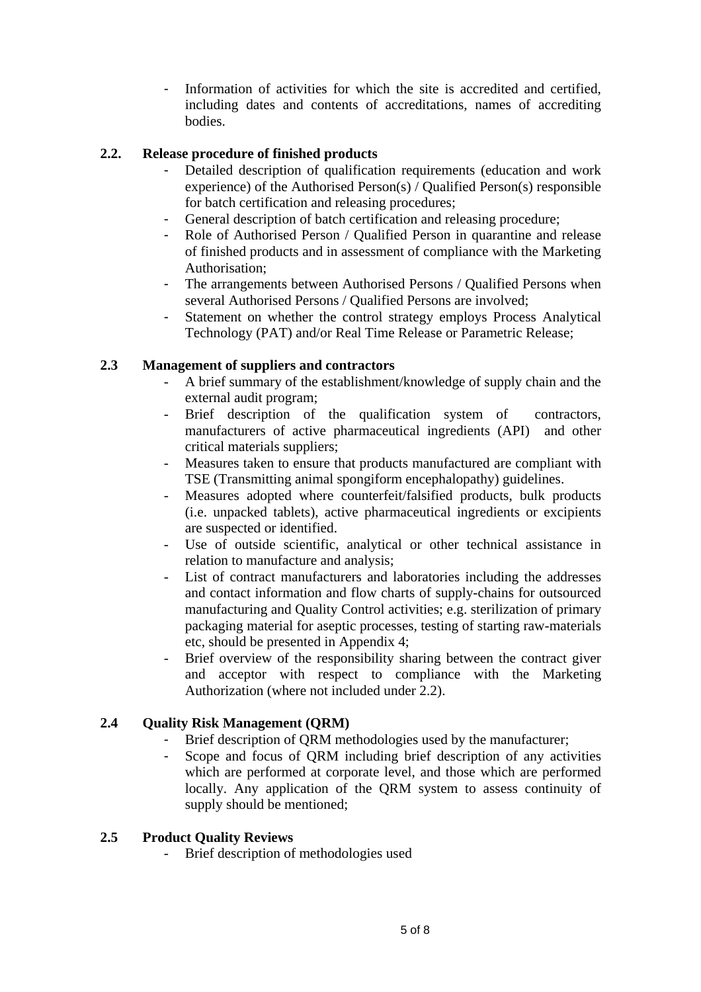- Information of activities for which the site is accredited and certified, including dates and contents of accreditations, names of accrediting bodies.

## **2.2. Release procedure of finished products**

- Detailed description of qualification requirements (education and work experience) of the Authorised Person(s) / Qualified Person(s) responsible for batch certification and releasing procedures;
- General description of batch certification and releasing procedure;
- Role of Authorised Person / Qualified Person in quarantine and release of finished products and in assessment of compliance with the Marketing Authorisation;
- The arrangements between Authorised Persons / Qualified Persons when several Authorised Persons / Qualified Persons are involved;
- Statement on whether the control strategy employs Process Analytical Technology (PAT) and/or Real Time Release or Parametric Release;

# **2.3 Management of suppliers and contractors**

- A brief summary of the establishment/knowledge of supply chain and the external audit program;
- Brief description of the qualification system of contractors, manufacturers of active pharmaceutical ingredients (API) and other critical materials suppliers;
- Measures taken to ensure that products manufactured are compliant with TSE (Transmitting animal spongiform encephalopathy) guidelines.
- Measures adopted where counterfeit/falsified products, bulk products (i.e. unpacked tablets), active pharmaceutical ingredients or excipients are suspected or identified.
- Use of outside scientific, analytical or other technical assistance in relation to manufacture and analysis;
- List of contract manufacturers and laboratories including the addresses and contact information and flow charts of supply-chains for outsourced manufacturing and Quality Control activities; e.g. sterilization of primary packaging material for aseptic processes, testing of starting raw-materials etc, should be presented in Appendix 4;
- Brief overview of the responsibility sharing between the contract giver and acceptor with respect to compliance with the Marketing Authorization (where not included under 2.2).

### **2.4 Quality Risk Management (QRM)**

- Brief description of QRM methodologies used by the manufacturer;
- Scope and focus of QRM including brief description of any activities which are performed at corporate level, and those which are performed locally. Any application of the QRM system to assess continuity of supply should be mentioned;

### **2.5 Product Quality Reviews**

- Brief description of methodologies used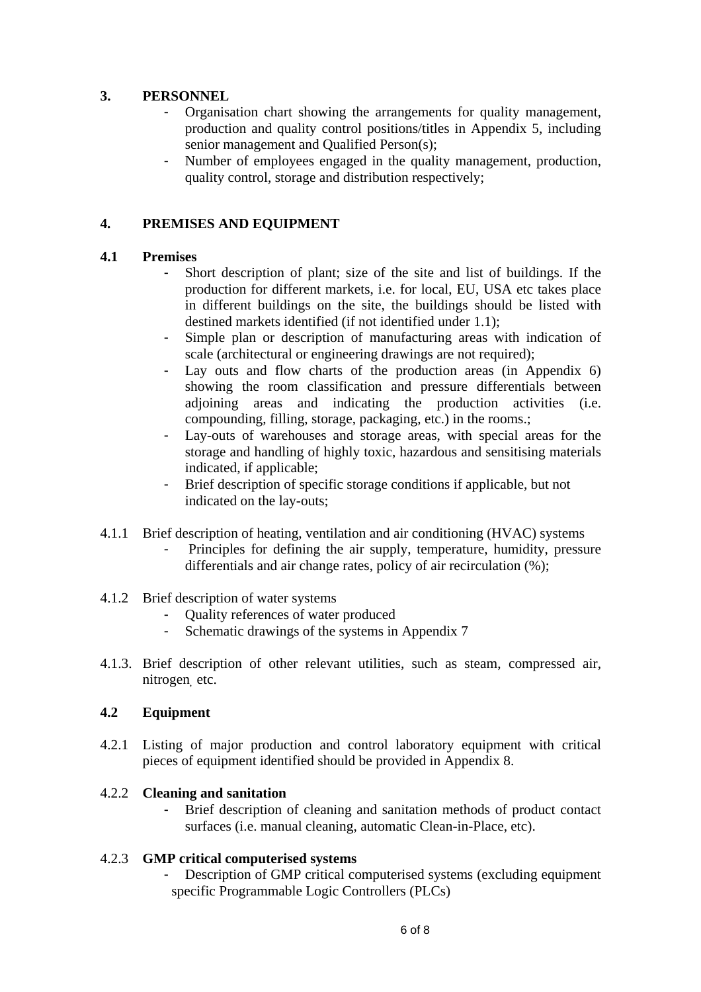### **3. PERSONNEL**

- Organisation chart showing the arrangements for quality management, production and quality control positions/titles in Appendix 5, including senior management and Qualified Person(s);
- Number of employees engaged in the quality management, production, quality control, storage and distribution respectively;

# **4. PREMISES AND EQUIPMENT**

### **4.1 Premises**

- Short description of plant; size of the site and list of buildings. If the production for different markets, i.e. for local, EU, USA etc takes place in different buildings on the site, the buildings should be listed with destined markets identified (if not identified under 1.1);
- Simple plan or description of manufacturing areas with indication of scale (architectural or engineering drawings are not required);
- Lay outs and flow charts of the production areas (in Appendix 6) showing the room classification and pressure differentials between adjoining areas and indicating the production activities (i.e. compounding, filling, storage, packaging, etc.) in the rooms.;
- Lay-outs of warehouses and storage areas, with special areas for the storage and handling of highly toxic, hazardous and sensitising materials indicated, if applicable;
- Brief description of specific storage conditions if applicable, but not indicated on the lay-outs;
- 4.1.1 Brief description of heating, ventilation and air conditioning (HVAC) systems
	- Principles for defining the air supply, temperature, humidity, pressure differentials and air change rates, policy of air recirculation (%);
- 4.1.2 Brief description of water systems
	- Quality references of water produced
	- Schematic drawings of the systems in Appendix 7
- 4.1.3. Brief description of other relevant utilities, such as steam, compressed air, nitrogen, etc.

### **4.2 Equipment**

4.2.1 Listing of major production and control laboratory equipment with critical pieces of equipment identified should be provided in Appendix 8.

# 4.2.2 **Cleaning and sanitation**

- Brief description of cleaning and sanitation methods of product contact surfaces (i.e. manual cleaning, automatic Clean-in-Place, etc).

### 4.2.3 **GMP critical computerised systems**

Description of GMP critical computerised systems (excluding equipment specific Programmable Logic Controllers (PLCs)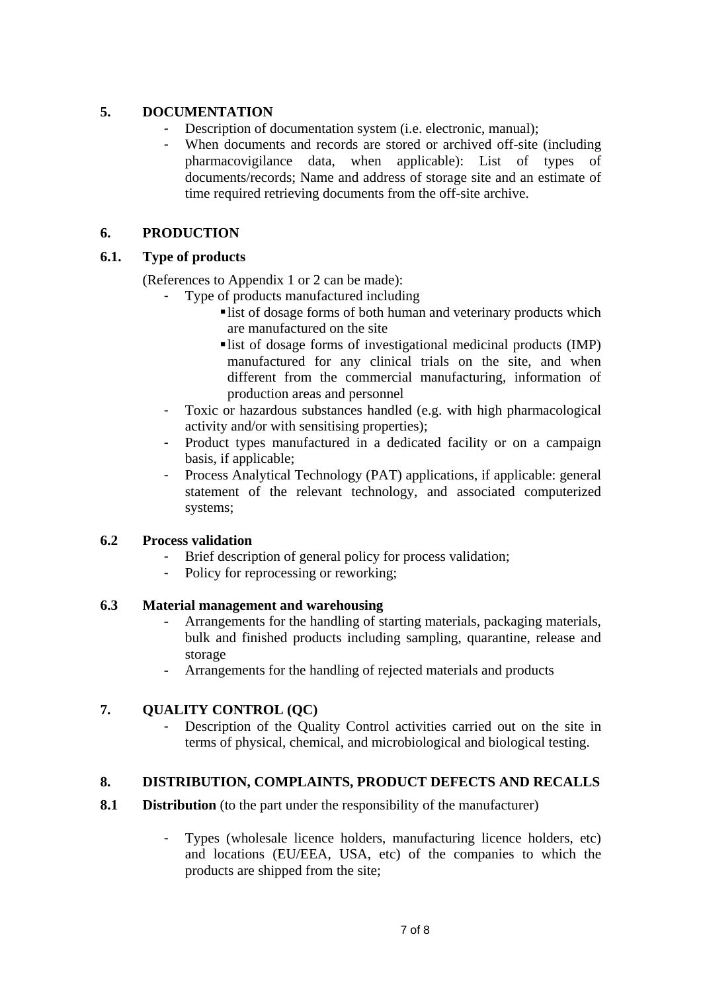# **5. DOCUMENTATION**

- Description of documentation system (i.e. electronic, manual);
- When documents and records are stored or archived off-site (including pharmacovigilance data, when applicable): List of types of documents/records; Name and address of storage site and an estimate of time required retrieving documents from the off-site archive.

# **6. PRODUCTION**

### **6.1. Type of products**

(References to Appendix 1 or 2 can be made):

- Type of products manufactured including
	- list of dosage forms of both human and veterinary products which are manufactured on the site
	- list of dosage forms of investigational medicinal products (IMP) manufactured for any clinical trials on the site, and when different from the commercial manufacturing, information of production areas and personnel
- Toxic or hazardous substances handled (e.g. with high pharmacological activity and/or with sensitising properties);
- Product types manufactured in a dedicated facility or on a campaign basis, if applicable;
- Process Analytical Technology (PAT) applications, if applicable: general statement of the relevant technology, and associated computerized systems;

### **6.2 Process validation**

- Brief description of general policy for process validation;
- Policy for reprocessing or reworking;

### **6.3 Material management and warehousing**

- Arrangements for the handling of starting materials, packaging materials, bulk and finished products including sampling, quarantine, release and storage
- Arrangements for the handling of rejected materials and products

# **7. QUALITY CONTROL (QC)**

Description of the Quality Control activities carried out on the site in terms of physical, chemical, and microbiological and biological testing.

### **8. DISTRIBUTION, COMPLAINTS, PRODUCT DEFECTS AND RECALLS**

- **8.1** Distribution (to the part under the responsibility of the manufacturer)
	- Types (wholesale licence holders, manufacturing licence holders, etc) and locations (EU/EEA, USA, etc) of the companies to which the products are shipped from the site;